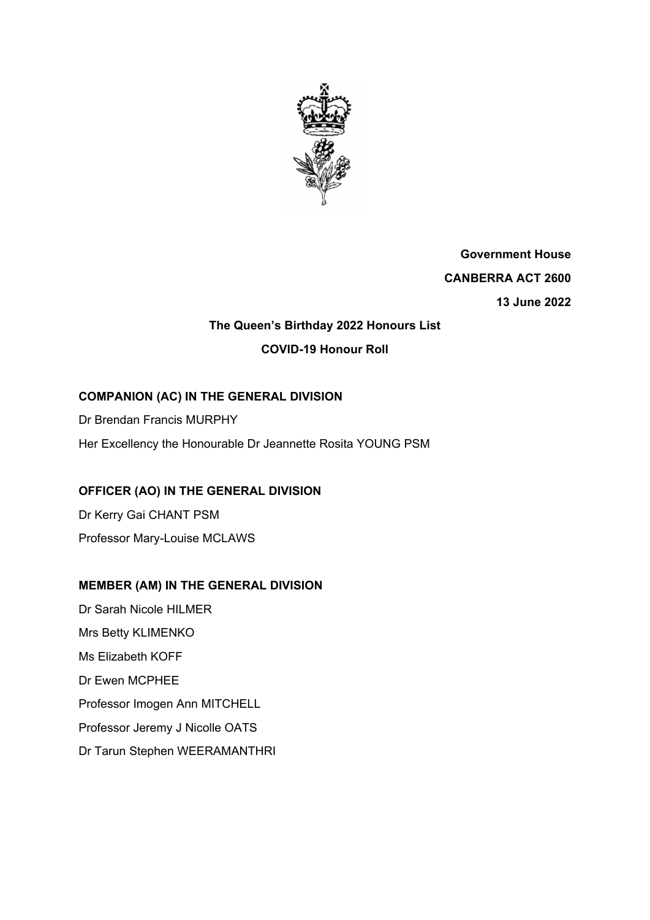

**Government House CANBERRA ACT 2600 13 June 2022** 

# **The Queen's Birthday 2022 Honours List COVID-19 Honour Roll**

# **COMPANION (AC) IN THE GENERAL DIVISION**

Dr Brendan Francis MURPHY

Her Excellency the Honourable Dr Jeannette Rosita YOUNG PSM

# **OFFICER (AO) IN THE GENERAL DIVISION**

Dr Kerry Gai CHANT PSM Professor Mary-Louise MCLAWS

# **MEMBER (AM) IN THE GENERAL DIVISION**

Dr Sarah Nicole HILMER Mrs Betty KLIMENKO Ms Elizabeth KOFF Dr Ewen MCPHEE Professor Imogen Ann MITCHELL Professor Jeremy J Nicolle OATS Dr Tarun Stephen WEERAMANTHRI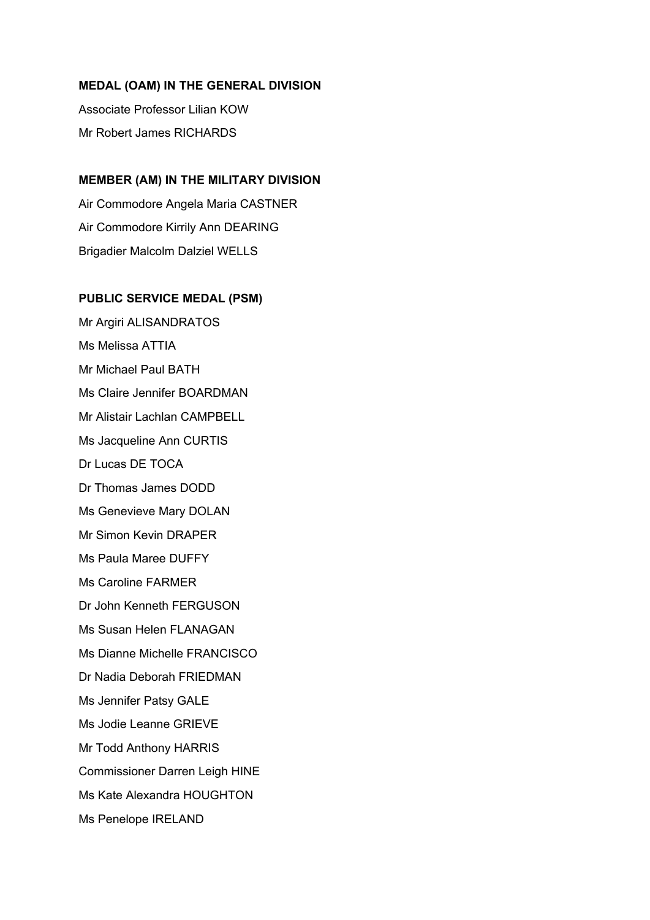### **MEDAL (OAM) IN THE GENERAL DIVISION**

Associate Professor Lilian KOW Mr Robert James RICHARDS

## **MEMBER (AM) IN THE MILITARY DIVISION**

Air Commodore Angela Maria CASTNER Air Commodore Kirrily Ann DEARING Brigadier Malcolm Dalziel WELLS

### **PUBLIC SERVICE MEDAL (PSM)**

Mr Argiri ALISANDRATOS Ms Melissa ATTIA Mr Michael Paul BATH Ms Claire Jennifer BOARDMAN Mr Alistair Lachlan CAMPBELL Ms Jacqueline Ann CURTIS Dr Lucas DE TOCA Dr Thomas James DODD Ms Genevieve Mary DOLAN Mr Simon Kevin DRAPER Ms Paula Maree DUFFY Ms Caroline FARMER Dr John Kenneth FERGUSON Ms Susan Helen FLANAGAN Ms Dianne Michelle FRANCISCO Dr Nadia Deborah FRIEDMAN Ms Jennifer Patsy GALE Ms Jodie Leanne GRIEVE Mr Todd Anthony HARRIS Commissioner Darren Leigh HINE Ms Kate Alexandra HOUGHTON Ms Penelope IRELAND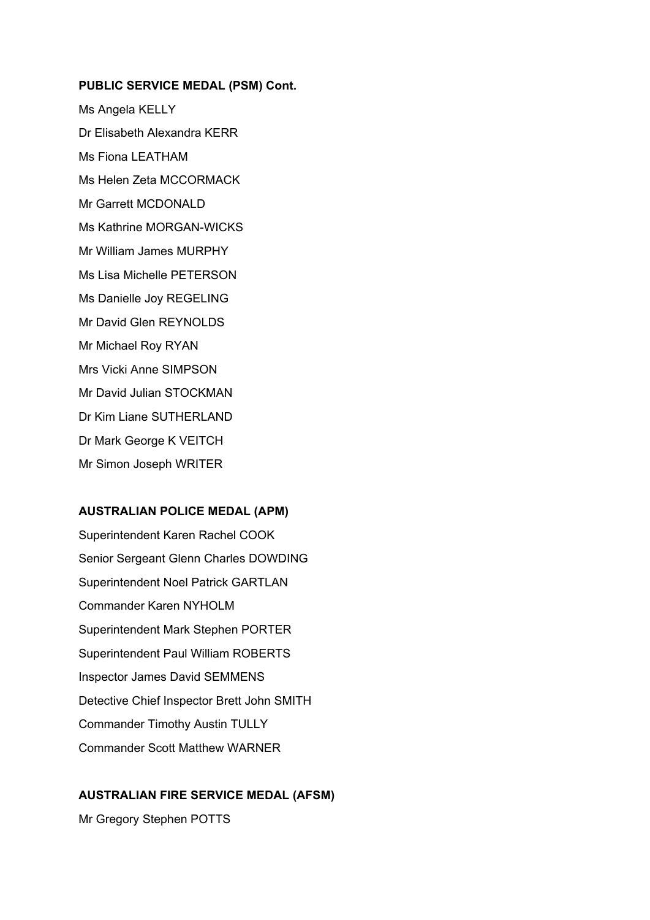#### **PUBLIC SERVICE MEDAL (PSM) Cont.**

Ms Angela KELLY Dr Elisabeth Alexandra KERR Ms Fiona LEATHAM Ms Helen Zeta MCCORMACK Mr Garrett MCDONALD Ms Kathrine MORGAN-WICKS Mr William James MURPHY Ms Lisa Michelle PETERSON Ms Danielle Joy REGELING Mr David Glen REYNOLDS Mr Michael Roy RYAN Mrs Vicki Anne SIMPSON Mr David Julian STOCKMAN Dr Kim Liane SUTHERLAND Dr Mark George K VEITCH Mr Simon Joseph WRITER

#### **AUSTRALIAN POLICE MEDAL (APM)**

Superintendent Karen Rachel COOK Senior Sergeant Glenn Charles DOWDING Superintendent Noel Patrick GARTLAN Commander Karen NYHOLM Superintendent Mark Stephen PORTER Superintendent Paul William ROBERTS Inspector James David SEMMENS Detective Chief Inspector Brett John SMITH Commander Timothy Austin TULLY Commander Scott Matthew WARNER

### **AUSTRALIAN FIRE SERVICE MEDAL (AFSM)**

Mr Gregory Stephen POTTS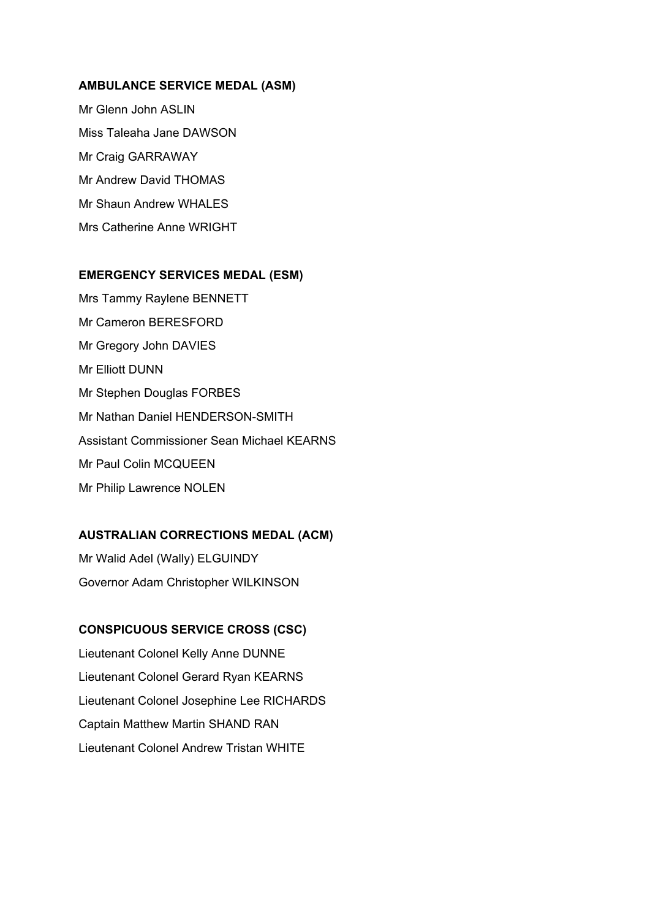#### **AMBULANCE SERVICE MEDAL (ASM)**

Mr Glenn John ASLIN Miss Taleaha Jane DAWSON Mr Craig GARRAWAY Mr Andrew David THOMAS Mr Shaun Andrew WHALES Mrs Catherine Anne WRIGHT

#### **EMERGENCY SERVICES MEDAL (ESM)**

Mrs Tammy Raylene BENNETT Mr Cameron BERESFORD Mr Gregory John DAVIES Mr Elliott DUNN Mr Stephen Douglas FORBES Mr Nathan Daniel HENDERSON-SMITH Assistant Commissioner Sean Michael KEARNS Mr Paul Colin MCQUEEN Mr Philip Lawrence NOLEN

### **AUSTRALIAN CORRECTIONS MEDAL (ACM)**

Mr Walid Adel (Wally) ELGUINDY Governor Adam Christopher WILKINSON

### **CONSPICUOUS SERVICE CROSS (CSC)**

Lieutenant Colonel Kelly Anne DUNNE Lieutenant Colonel Gerard Ryan KEARNS Lieutenant Colonel Josephine Lee RICHARDS Captain Matthew Martin SHAND RAN Lieutenant Colonel Andrew Tristan WHITE